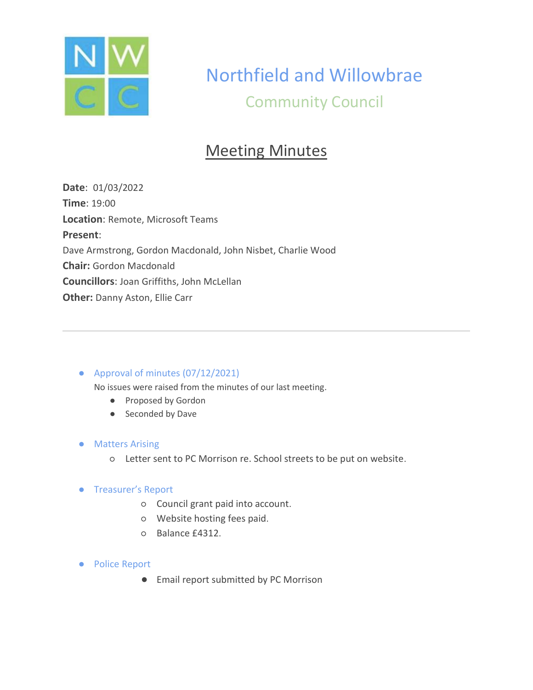

# Northfield and Willowbrae Community Council

# Meeting Minutes

**Date**: 01/03/2022 **Time**: 19:00 **Location**: Remote, Microsoft Teams **Present**: Dave Armstrong, Gordon Macdonald, John Nisbet, Charlie Wood **Chair:** Gordon Macdonald **Councillors**: Joan Griffiths, John McLellan **Other:** Danny Aston, Ellie Carr

## ● Approval of minutes (07/12/2021)

No issues were raised from the minutes of our last meeting.

- Proposed by Gordon
- Seconded by Dave

#### ● Matters Arising

○ Letter sent to PC Morrison re. School streets to be put on website.

#### ● Treasurer's Report

- Council grant paid into account.
- Website hosting fees paid.
- Balance £4312.
- Police Report
	- Email report submitted by PC Morrison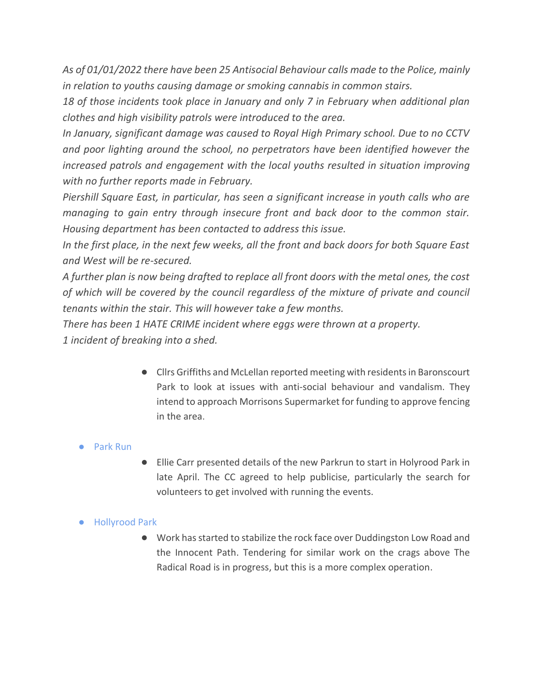*As of 01/01/2022 there have been 25 Antisocial Behaviour calls made to the Police, mainly in relation to youths causing damage or smoking cannabis in common stairs.* 

*18 of those incidents took place in January and only 7 in February when additional plan clothes and high visibility patrols were introduced to the area.* 

*In January, significant damage was caused to Royal High Primary school. Due to no CCTV and poor lighting around the school, no perpetrators have been identified however the increased patrols and engagement with the local youths resulted in situation improving with no further reports made in February.* 

*Piershill Square East, in particular, has seen a significant increase in youth calls who are managing to gain entry through insecure front and back door to the common stair. Housing department has been contacted to address this issue.* 

*In the first place, in the next few weeks, all the front and back doors for both Square East and West will be re-secured.* 

*A further plan is now being drafted to replace all front doors with the metal ones, the cost of which will be covered by the council regardless of the mixture of private and council tenants within the stair. This will however take a few months.* 

*There has been 1 HATE CRIME incident where eggs were thrown at a property.*

*1 incident of breaking into a shed.*

● Cllrs Griffiths and McLellan reported meeting with residents in Baronscourt Park to look at issues with anti-social behaviour and vandalism. They intend to approach Morrisons Supermarket for funding to approve fencing in the area.

# ● Park Run

● Ellie Carr presented details of the new Parkrun to start in Holyrood Park in late April. The CC agreed to help publicise, particularly the search for volunteers to get involved with running the events.

## ● Hollyrood Park

● Work has started to stabilize the rock face over Duddingston Low Road and the Innocent Path. Tendering for similar work on the crags above The Radical Road is in progress, but this is a more complex operation.